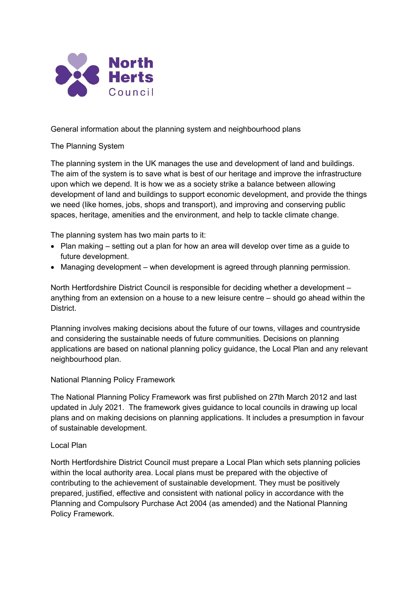

General information about the planning system and neighbourhood plans

The Planning System

The planning system in the UK manages the use and development of land and buildings. The aim of the system is to save what is best of our heritage and improve the infrastructure upon which we depend. It is how we as a society strike a balance between allowing development of land and buildings to support economic development, and provide the things we need (like homes, jobs, shops and transport), and improving and conserving public spaces, heritage, amenities and the environment, and help to tackle climate change.

The planning system has two main parts to it:

- Plan making setting out a plan for how an area will develop over time as a quide to future development.
- Managing development when development is agreed through planning permission.

North Hertfordshire District Council is responsible for deciding whether a development – anything from an extension on a house to a new leisure centre – should go ahead within the District.

Planning involves making decisions about the future of our towns, villages and countryside and considering the sustainable needs of future communities. Decisions on planning applications are based on national planning policy guidance, the Local Plan and any relevant neighbourhood plan.

National Planning Policy Framework

The National Planning Policy Framework was first published on 27th March 2012 and last updated in July 2021. The framework gives guidance to local councils in drawing up local plans and on making decisions on planning applications. It includes a presumption in favour of sustainable development.

## Local Plan

North Hertfordshire District Council must prepare a Local Plan which sets planning policies within the local authority area. Local plans must be prepared with the objective of contributing to the achievement of sustainable development. They must be positively prepared, justified, effective and consistent with national policy in accordance with the Planning and Compulsory Purchase Act 2004 (as amended) and the National Planning Policy Framework.